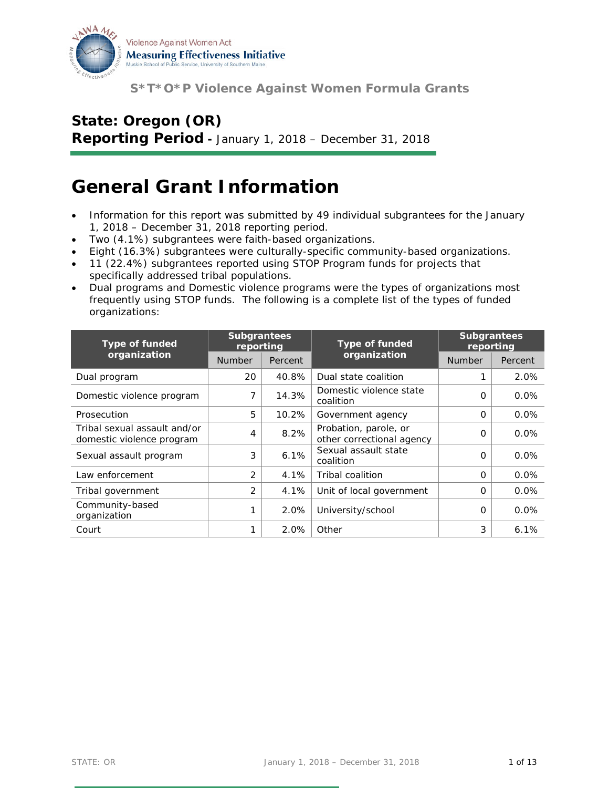

# **State: Oregon (OR)**

**Reporting Period -** January 1, 2018 – December 31, 2018

## **General Grant Information**

- Information for this report was submitted by 49 individual subgrantees for the January 1, 2018 – December 31, 2018 reporting period.
- Two (4.1%) subgrantees were faith-based organizations.
- Eight (16.3%) subgrantees were culturally-specific community-based organizations.
- 11 (22.4%) subgrantees reported using STOP Program funds for projects that specifically addressed tribal populations.
- Dual programs and Domestic violence programs were the types of organizations most frequently using STOP funds. The following is a complete list of the types of funded organizations:

| <b>Type of funded</b>                                     | <b>Subgrantees</b><br><b>Type of funded</b><br>reporting |         | <b>Subgrantees</b><br>reporting                    |               |         |
|-----------------------------------------------------------|----------------------------------------------------------|---------|----------------------------------------------------|---------------|---------|
| organization                                              | <b>Number</b>                                            | Percent | organization                                       | <b>Number</b> | Percent |
| Dual program                                              | 20                                                       | 40.8%   | Dual state coalition                               |               | 2.0%    |
| Domestic violence program                                 | 7                                                        | 14.3%   | Domestic violence state<br>coalition               | 0             | $0.0\%$ |
| Prosecution                                               | 5                                                        | 10.2%   | Government agency                                  | O             | $0.0\%$ |
| Tribal sexual assault and/or<br>domestic violence program | 4                                                        | 8.2%    | Probation, parole, or<br>other correctional agency | O             | 0.0%    |
| Sexual assault program                                    | 3                                                        | 6.1%    | Sexual assault state<br>coalition                  | $\Omega$      | 0.0%    |
| Law enforcement                                           | 2                                                        | 4.1%    | Tribal coalition                                   | $\Omega$      | 0.0%    |
| Tribal government                                         | 2                                                        | 4.1%    | Unit of local government                           | $\Omega$      | 0.0%    |
| Community-based<br>organization                           |                                                          | 2.0%    | University/school                                  | 0             | 0.0%    |
| Court                                                     |                                                          | 2.0%    | Other                                              | 3             | 6.1%    |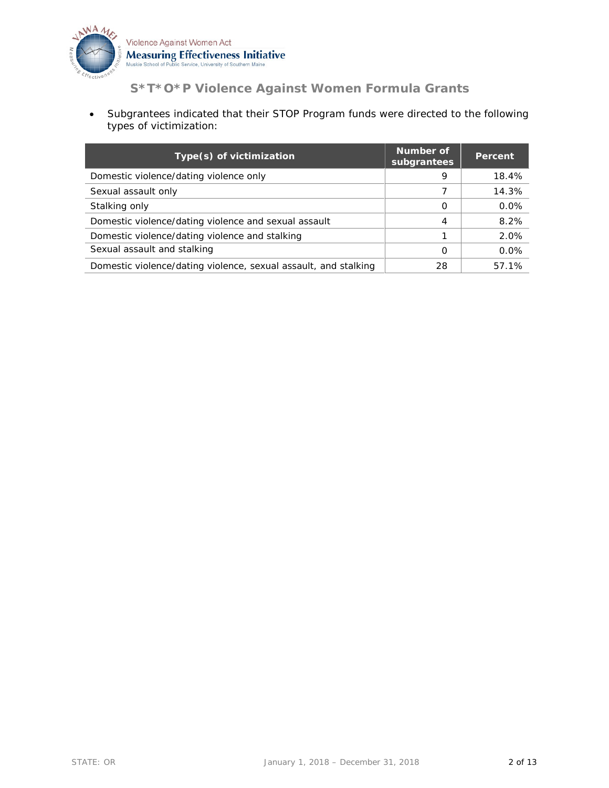

• Subgrantees indicated that their STOP Program funds were directed to the following types of victimization:

| Type(s) of victimization                                        | Number of<br>subgrantees | Percent |
|-----------------------------------------------------------------|--------------------------|---------|
| Domestic violence/dating violence only                          | 9                        | 18.4%   |
| Sexual assault only                                             |                          | 14.3%   |
| Stalking only                                                   | O                        | 0.0%    |
| Domestic violence/dating violence and sexual assault            | 4                        | 8.2%    |
| Domestic violence/dating violence and stalking                  |                          | 2.0%    |
| Sexual assault and stalking                                     | Ω                        | 0.0%    |
| Domestic violence/dating violence, sexual assault, and stalking | 28                       | 57.1%   |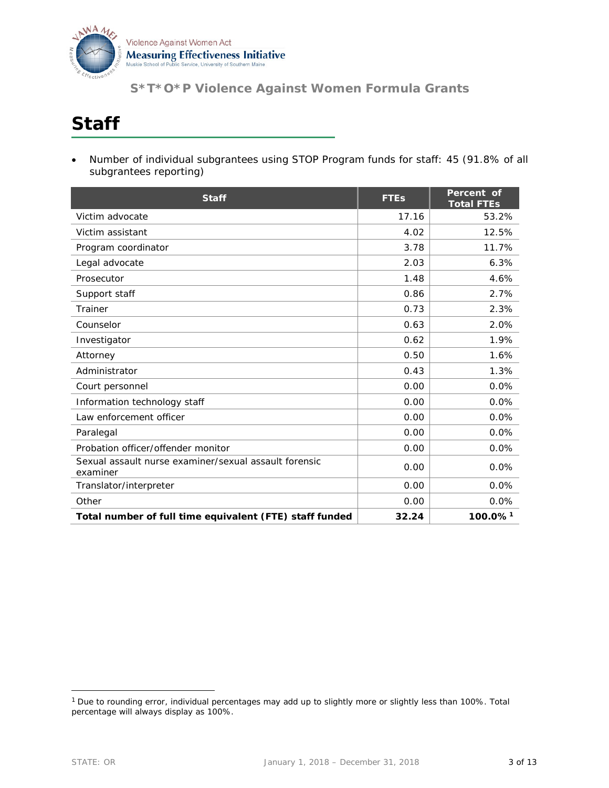

## **Staff**

• Number of individual subgrantees using STOP Program funds for staff: 45 (91.8% of all subgrantees reporting)

| <b>Staff</b>                                                      | <b>FTEs</b> | Percent of<br><b>Total FTEs</b> |
|-------------------------------------------------------------------|-------------|---------------------------------|
| Victim advocate                                                   | 17.16       | 53.2%                           |
| Victim assistant                                                  | 4.02        | 12.5%                           |
| Program coordinator                                               | 3.78        | 11.7%                           |
| Legal advocate                                                    | 2.03        | 6.3%                            |
| Prosecutor                                                        | 1.48        | 4.6%                            |
| Support staff                                                     | 0.86        | 2.7%                            |
| Trainer                                                           | 0.73        | 2.3%                            |
| Counselor                                                         | 0.63        | 2.0%                            |
| Investigator                                                      | 0.62        | 1.9%                            |
| Attorney                                                          | 0.50        | 1.6%                            |
| Administrator                                                     | 0.43        | 1.3%                            |
| Court personnel                                                   | 0.00        | 0.0%                            |
| Information technology staff                                      | 0.00        | 0.0%                            |
| Law enforcement officer                                           | 0.00        | 0.0%                            |
| Paralegal                                                         | 0.00        | 0.0%                            |
| Probation officer/offender monitor                                | 0.00        | 0.0%                            |
| Sexual assault nurse examiner/sexual assault forensic<br>examiner | 0.00        | 0.0%                            |
| Translator/interpreter                                            | 0.00        | 0.0%                            |
| Other                                                             | 0.00        | 0.0%                            |
| Total number of full time equivalent (FTE) staff funded           | 32.24       | 100.0% <sup>1</sup>             |

<span id="page-2-0"></span> <sup>1</sup> Due to rounding error, individual percentages may add up to slightly more or slightly less than 100%. Total percentage will always display as 100%.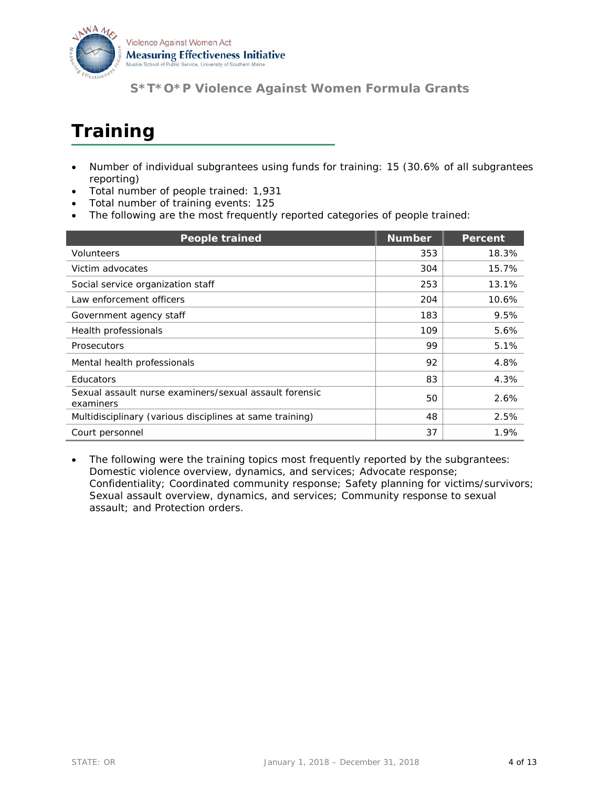

# **Training**

- Number of individual subgrantees using funds for training: 15 (30.6% of all subgrantees reporting)
- Total number of people trained: 1,931
- Total number of training events: 125
- The following are the most frequently reported categories of people trained:

| <b>People trained</b>                                               | <b>Number</b> | <b>Percent</b> |
|---------------------------------------------------------------------|---------------|----------------|
| Volunteers                                                          | 353           | 18.3%          |
| Victim advocates                                                    | 304           | 15.7%          |
| Social service organization staff                                   | 253           | 13.1%          |
| Law enforcement officers                                            | 204           | 10.6%          |
| Government agency staff                                             | 183           | 9.5%           |
| Health professionals                                                | 109           | 5.6%           |
| <b>Prosecutors</b>                                                  | 99            | 5.1%           |
| Mental health professionals                                         | 92            | 4.8%           |
| <b>Educators</b>                                                    | 83            | 4.3%           |
| Sexual assault nurse examiners/sexual assault forensic<br>examiners | 50            | 2.6%           |
| Multidisciplinary (various disciplines at same training)            | 48            | 2.5%           |
| Court personnel                                                     | 37            | 1.9%           |

The following were the training topics most frequently reported by the subgrantees: Domestic violence overview, dynamics, and services; Advocate response; Confidentiality; Coordinated community response; Safety planning for victims/survivors; Sexual assault overview, dynamics, and services; Community response to sexual assault; and Protection orders.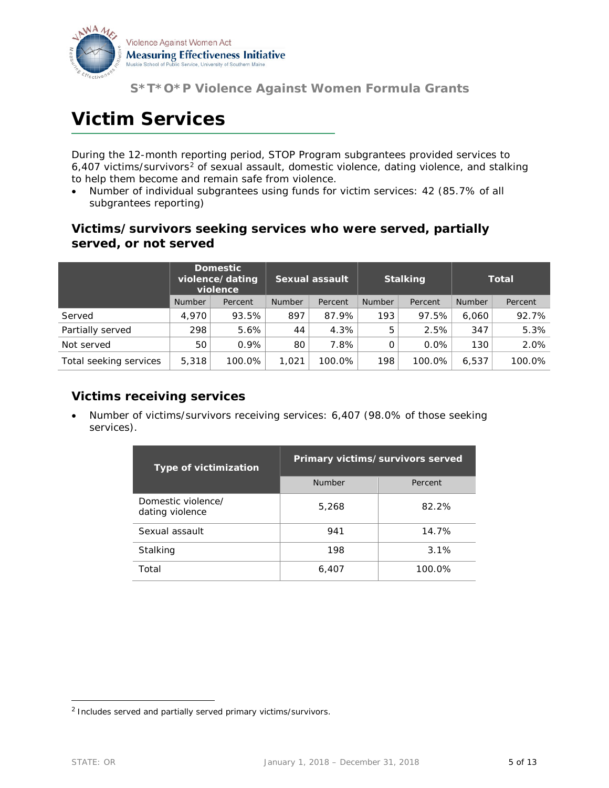

## **Victim Services**

During the 12-month reporting period, STOP Program subgrantees provided services to 6,407 victims/survivors[2](#page-4-0) of sexual assault, domestic violence, dating violence, and stalking to help them become and remain safe from violence.

• Number of individual subgrantees using funds for victim services: 42 (85.7% of all subgrantees reporting)

#### **Victims/survivors seeking services who were served, partially served, or not served**

|                        | <b>Domestic</b><br>violence/dating<br>violence |         | <b>Sexual assault</b> |         |               |         |               | <b>Stalking</b> |  | <b>Total</b> |
|------------------------|------------------------------------------------|---------|-----------------------|---------|---------------|---------|---------------|-----------------|--|--------------|
|                        | <b>Number</b>                                  | Percent | <b>Number</b>         | Percent | <b>Number</b> | Percent | <b>Number</b> | Percent         |  |              |
| Served                 | 4,970                                          | 93.5%   | 897                   | 87.9%   | 193           | 97.5%   | 6,060         | 92.7%           |  |              |
| Partially served       | 298                                            | 5.6%    | 44                    | 4.3%    | 5             | 2.5%    | 347           | 5.3%            |  |              |
| Not served             | 50                                             | $0.9\%$ | 80                    | 7.8%    | 0             | $0.0\%$ | 130           | 2.0%            |  |              |
| Total seeking services | 5,318                                          | 100.0%  | 1.021                 | 100.0%  | 198           | 100.0%  | 6.537         | 100.0%          |  |              |

#### **Victims receiving services**

• Number of victims/survivors receiving services: 6,407 (98.0% of those seeking services).

| <b>Type of victimization</b>          | Primary victims/survivors served |         |  |  |
|---------------------------------------|----------------------------------|---------|--|--|
|                                       | <b>Number</b>                    | Percent |  |  |
| Domestic violence/<br>dating violence | 5,268                            | 82.2%   |  |  |
| Sexual assault                        | 941                              | 14.7%   |  |  |
| Stalking                              | 198                              | 3.1%    |  |  |
| Total                                 | 6,407                            | 100.0%  |  |  |

<span id="page-4-0"></span> <sup>2</sup> Includes served and partially served primary victims/survivors.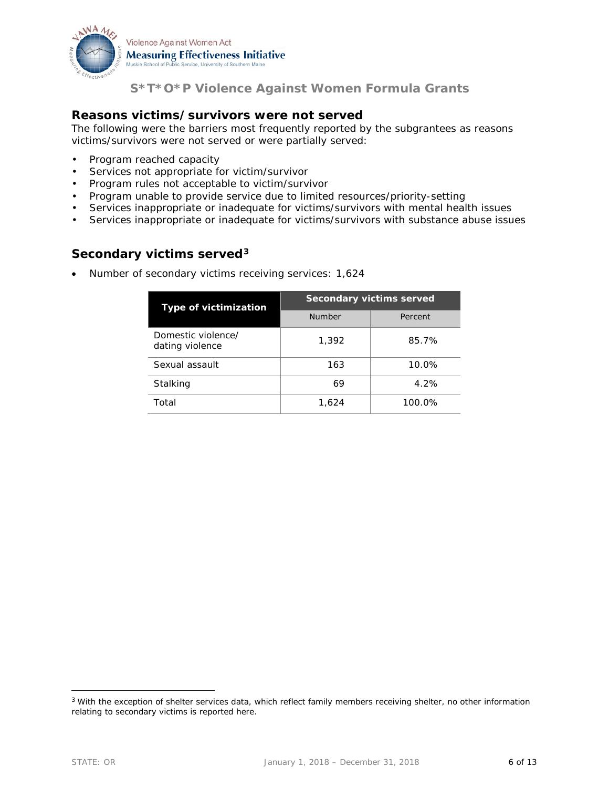

#### **Reasons victims/survivors were not served**

The following were the barriers most frequently reported by the subgrantees as reasons victims/survivors were not served or were partially served:

- Program reached capacity
- Services not appropriate for victim/survivor
- Program rules not acceptable to victim/survivor
- Program unable to provide service due to limited resources/priority-setting
- Services inappropriate or inadequate for victims/survivors with mental health issues
- Services inappropriate or inadequate for victims/survivors with substance abuse issues

#### **Secondary victims served[3](#page-5-0)**

• Number of secondary victims receiving services: 1,624

| <b>Type of victimization</b>          | <b>Secondary victims served</b> |         |  |  |
|---------------------------------------|---------------------------------|---------|--|--|
|                                       | <b>Number</b>                   | Percent |  |  |
| Domestic violence/<br>dating violence | 1,392                           | 85.7%   |  |  |
| Sexual assault                        | 163                             | 10.0%   |  |  |
| Stalking                              | 69                              | 4.2%    |  |  |
| Total                                 | 1,624                           | 100.0%  |  |  |

<span id="page-5-0"></span><sup>&</sup>lt;sup>3</sup> With the exception of shelter services data, which reflect family members receiving shelter, no other information relating to secondary victims is reported here.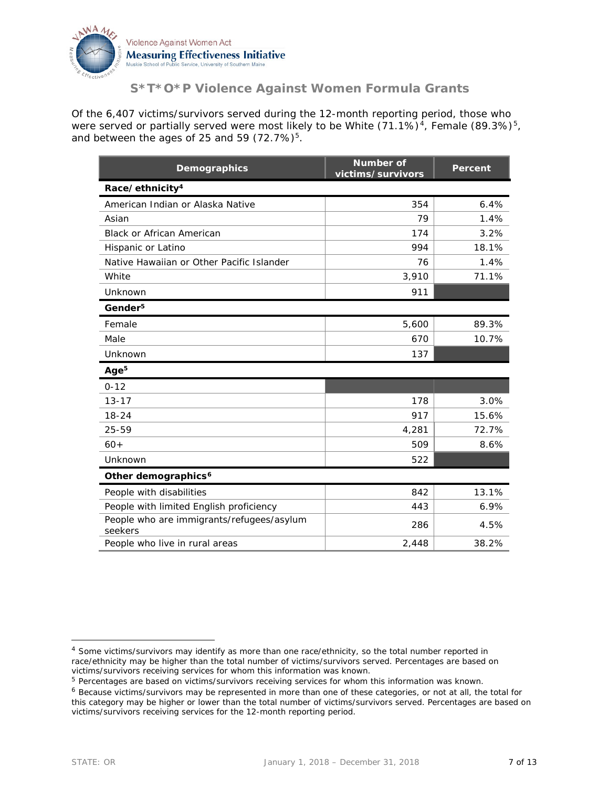

Of the 6,407 victims/survivors served during the 12-month reporting period, those who were served or partially served were most likely to be White  $(71.1\%)^4$ , Female  $(89.3\%)^5$ , and between the ages of 25 and 59  $(72.7\%)^5$ .

| Demographics                                         | <b>Number of</b><br>victims/survivors | Percent |
|------------------------------------------------------|---------------------------------------|---------|
| Race/ethnicity <sup>4</sup>                          |                                       |         |
| American Indian or Alaska Native                     | 354                                   | 6.4%    |
| Asian                                                | 79                                    | 1.4%    |
| <b>Black or African American</b>                     | 174                                   | 3.2%    |
| Hispanic or Latino                                   | 994                                   | 18.1%   |
| Native Hawaiian or Other Pacific Islander            | 76                                    | 1.4%    |
| White                                                | 3,910                                 | 71.1%   |
| Unknown                                              | 911                                   |         |
| Gender <sup>5</sup>                                  |                                       |         |
| Female                                               | 5,600                                 | 89.3%   |
| Male                                                 | 670                                   | 10.7%   |
| Unknown                                              | 137                                   |         |
| Age <sup>5</sup>                                     |                                       |         |
| $0 - 12$                                             |                                       |         |
| $13 - 17$                                            | 178                                   | 3.0%    |
| $18 - 24$                                            | 917                                   | 15.6%   |
| 25-59                                                | 4,281                                 | 72.7%   |
| $60+$                                                | 509                                   | 8.6%    |
| Unknown                                              | 522                                   |         |
| Other demographics <sup>6</sup>                      |                                       |         |
| People with disabilities                             | 842                                   | 13.1%   |
| People with limited English proficiency              | 443                                   | 6.9%    |
| People who are immigrants/refugees/asylum<br>seekers | 286                                   | 4.5%    |
| People who live in rural areas                       | 2,448                                 | 38.2%   |

<span id="page-6-0"></span> <sup>4</sup> Some victims/survivors may identify as more than one race/ethnicity, so the total number reported in race/ethnicity may be higher than the total number of victims/survivors served. Percentages are based on victims/survivors receiving services for whom this information was known.

<span id="page-6-1"></span><sup>5</sup> Percentages are based on victims/survivors receiving services for whom this information was known.

<span id="page-6-2"></span><sup>6</sup> Because victims/survivors may be represented in more than one of these categories, or not at all, the total for this category may be higher or lower than the total number of victims/survivors served. Percentages are based on victims/survivors receiving services for the 12-month reporting period.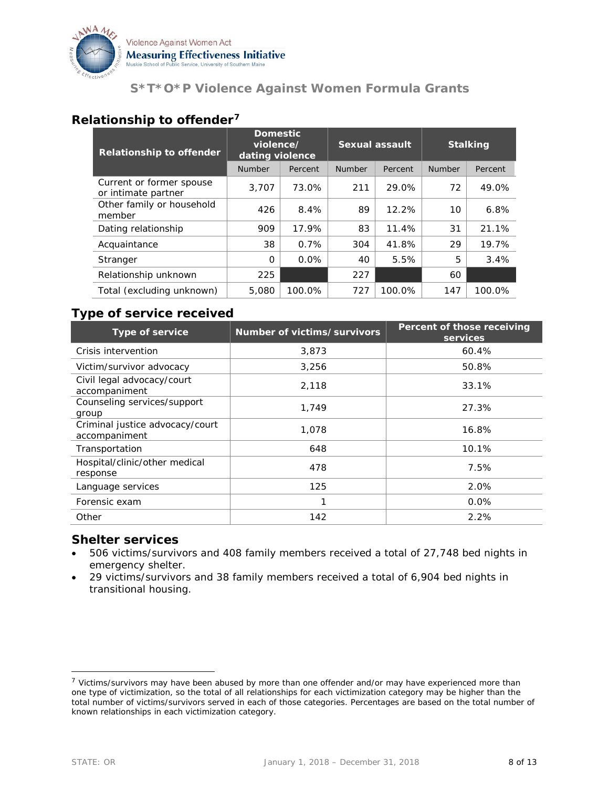

#### **Relationship to offender[7](#page-7-0)**

| <b>Relationship to offender</b>                 | <b>Domestic</b><br>violence/<br>dating violence |         | <b>Sexual assault</b> |         | <b>Stalking</b> |         |
|-------------------------------------------------|-------------------------------------------------|---------|-----------------------|---------|-----------------|---------|
|                                                 | <b>Number</b>                                   | Percent | <b>Number</b>         | Percent | Number          | Percent |
| Current or former spouse<br>or intimate partner | 3.707                                           | 73.0%   | 211                   | 29.0%   | 72              | 49.0%   |
| Other family or household<br>member             | 426                                             | 8.4%    | 89                    | 12.2%   | 10              | 6.8%    |
| Dating relationship                             | 909                                             | 17.9%   | 83                    | 11.4%   | 31              | 21.1%   |
| Acquaintance                                    | 38                                              | 0.7%    | 304                   | 41.8%   | 29              | 19.7%   |
| Stranger                                        | $\Omega$                                        | $0.0\%$ | 40                    | 5.5%    | 5               | 3.4%    |
| Relationship unknown                            | 225                                             |         | 227                   |         | 60              |         |
| Total (excluding unknown)                       | 5,080                                           | 100.0%  | 727                   | 100.0%  | 147             | 100.0%  |

#### **Type of service received**

| Type of service                                  | Number of victims/survivors | Percent of those receiving<br>services |
|--------------------------------------------------|-----------------------------|----------------------------------------|
| Crisis intervention                              | 3,873                       | 60.4%                                  |
| Victim/survivor advocacy                         | 3,256                       | 50.8%                                  |
| Civil legal advocacy/court<br>accompaniment      | 2,118                       | 33.1%                                  |
| Counseling services/support<br>group             | 1,749                       | 27.3%                                  |
| Criminal justice advocacy/court<br>accompaniment | 1.078                       | 16.8%                                  |
| Transportation                                   | 648                         | 10.1%                                  |
| Hospital/clinic/other medical<br>response        | 478                         | 7.5%                                   |
| Language services                                | 125                         | 2.0%                                   |
| Forensic exam                                    | 1                           | 0.0%                                   |
| Other                                            | 142                         | 2.2%                                   |

#### **Shelter services**

- 506 victims/survivors and 408 family members received a total of 27,748 bed nights in emergency shelter.
- 29 victims/survivors and 38 family members received a total of 6,904 bed nights in transitional housing.

<span id="page-7-0"></span><sup>&</sup>lt;sup>7</sup> Victims/survivors may have been abused by more than one offender and/or may have experienced more than one type of victimization, so the total of all relationships for each victimization category may be higher than the total number of victims/survivors served in each of those categories. Percentages are based on the total number of known relationships in each victimization category.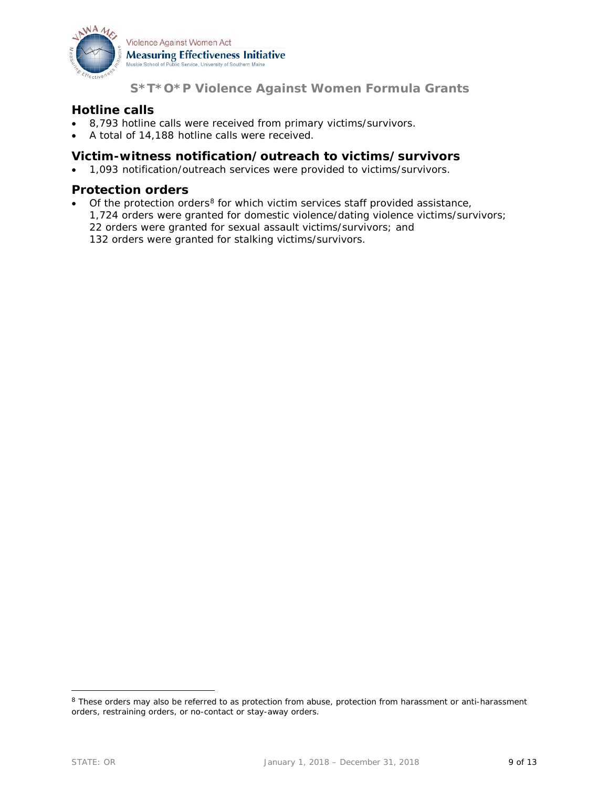

#### **Hotline calls**

- 8,793 hotline calls were received from primary victims/survivors.
- A total of 14,188 hotline calls were received.

#### **Victim-witness notification/outreach to victims/survivors**

• 1,093 notification/outreach services were provided to victims/survivors.

#### **Protection orders**

Of the protection orders<sup>[8](#page-8-0)</sup> for which victim services staff provided assistance, 1,724 orders were granted for domestic violence/dating violence victims/survivors; 22 orders were granted for sexual assault victims/survivors; and 132 orders were granted for stalking victims/survivors.

<span id="page-8-0"></span><sup>&</sup>lt;sup>8</sup> These orders may also be referred to as protection from abuse, protection from harassment or anti-harassment orders, restraining orders, or no-contact or stay-away orders.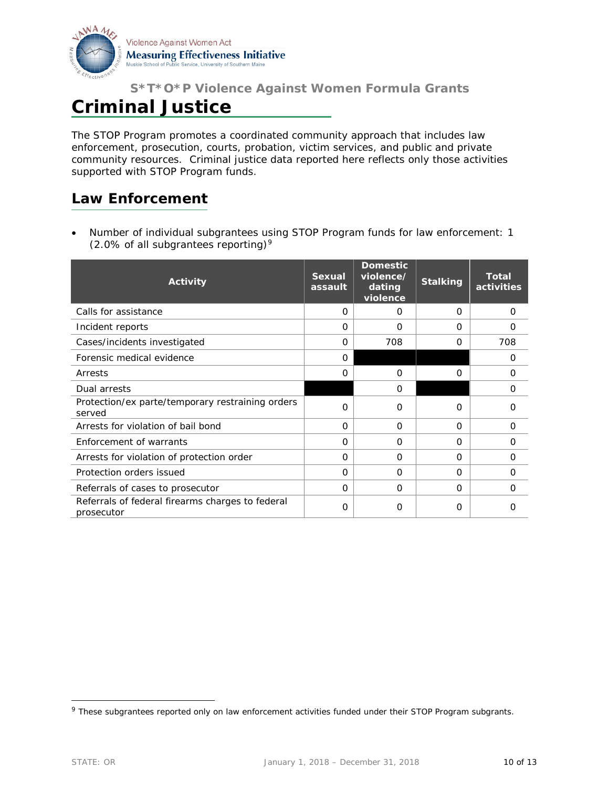

## **Criminal Justice**

The STOP Program promotes a coordinated community approach that includes law enforcement, prosecution, courts, probation, victim services, and public and private community resources. Criminal justice data reported here reflects only those activities supported with STOP Program funds.

### **Law Enforcement**

• Number of individual subgrantees using STOP Program funds for law enforcement: 1 (2.0% of all subgrantees reporting)<sup>[9](#page-9-0)</sup>

| <b>Activity</b>                                                | <b>Sexual</b><br>assault | <b>Domestic</b><br>violence/<br>dating<br>violence | <b>Stalking</b> | <b>Total</b><br>activities |
|----------------------------------------------------------------|--------------------------|----------------------------------------------------|-----------------|----------------------------|
| Calls for assistance                                           | 0                        | 0                                                  | 0               | 0                          |
| Incident reports                                               | $\Omega$                 | $\Omega$                                           | $\Omega$        | O                          |
| Cases/incidents investigated                                   | $\Omega$                 | 708                                                | 0               | 708                        |
| Forensic medical evidence                                      | $\Omega$                 |                                                    |                 | 0                          |
| Arrests                                                        | $\Omega$                 | $\Omega$                                           | O               | 0                          |
| Dual arrests                                                   |                          | 0                                                  |                 | 0                          |
| Protection/ex parte/temporary restraining orders<br>served     | $\Omega$                 | $\Omega$                                           | $\Omega$        | Ω                          |
| Arrests for violation of bail bond                             | $\Omega$                 | $\Omega$                                           | $\Omega$        | $\Omega$                   |
| Enforcement of warrants                                        | $\Omega$                 | $\Omega$                                           | $\Omega$        | $\Omega$                   |
| Arrests for violation of protection order                      | 0                        | O                                                  | $\Omega$        | 0                          |
| Protection orders issued                                       | $\Omega$                 | $\Omega$                                           | O               | 0                          |
| Referrals of cases to prosecutor                               | $\Omega$                 | $\Omega$                                           | $\Omega$        | $\Omega$                   |
| Referrals of federal firearms charges to federal<br>prosecutor | O                        | O                                                  | O               | Ω                          |

<span id="page-9-0"></span><sup>&</sup>lt;sup>9</sup> These subgrantees reported only on law enforcement activities funded under their STOP Program subgrants.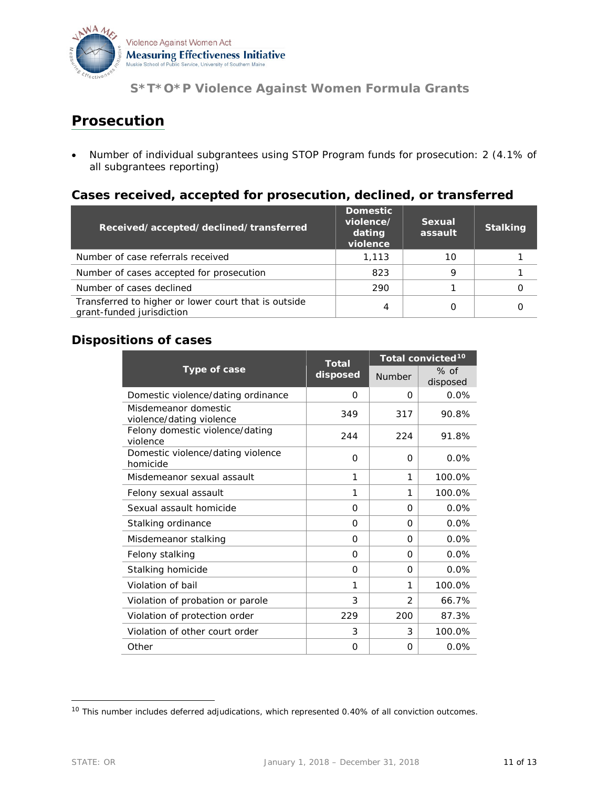

### **Prosecution**

• Number of individual subgrantees using STOP Program funds for prosecution: 2 (4.1% of all subgrantees reporting)

#### **Cases received, accepted for prosecution, declined, or transferred**

| Received/accepted/declined/transferred                                            | <b>Domestic</b><br>violence/<br>dating<br>violence | Sexual<br>assault | <b>Stalking</b> |
|-----------------------------------------------------------------------------------|----------------------------------------------------|-------------------|-----------------|
| Number of case referrals received                                                 | 1,113                                              | 10                |                 |
| Number of cases accepted for prosecution                                          | 823                                                | C                 |                 |
| Number of cases declined                                                          | 290                                                |                   |                 |
| Transferred to higher or lower court that is outside<br>grant-funded jurisdiction | 4                                                  |                   |                 |

#### **Dispositions of cases**

| Type of case                                     | <b>Total</b><br>disposed | Total convicted <sup>10</sup> |                    |
|--------------------------------------------------|--------------------------|-------------------------------|--------------------|
|                                                  |                          | Number                        | $%$ of<br>disposed |
| Domestic violence/dating ordinance               | $\Omega$                 | O                             | 0.0%               |
| Misdemeanor domestic<br>violence/dating violence | 349                      | 317                           | 90.8%              |
| Felony domestic violence/dating<br>violence      | 244                      | 224                           | 91.8%              |
| Domestic violence/dating violence<br>homicide    | $\Omega$                 | $\Omega$                      | 0.0%               |
| Misdemeanor sexual assault                       | 1                        | 1                             | 100.0%             |
| Felony sexual assault                            | 1                        | 1                             | 100.0%             |
| Sexual assault homicide                          | $\Omega$                 | O                             | 0.0%               |
| Stalking ordinance                               | $\Omega$                 | O                             | 0.0%               |
| Misdemeanor stalking                             | $\Omega$                 | 0                             | 0.0%               |
| Felony stalking                                  | $\Omega$                 | O                             | 0.0%               |
| Stalking homicide                                | 0                        | O                             | 0.0%               |
| Violation of bail                                | 1                        | 1                             | 100.0%             |
| Violation of probation or parole                 | 3                        | 2                             | 66.7%              |
| Violation of protection order                    | 229                      | 200                           | 87.3%              |
| Violation of other court order                   | 3                        | 3                             | 100.0%             |
| Other                                            | $\Omega$                 | O                             | 0.0%               |

<span id="page-10-0"></span><sup>&</sup>lt;sup>10</sup> This number includes deferred adjudications, which represented 0.40% of all conviction outcomes.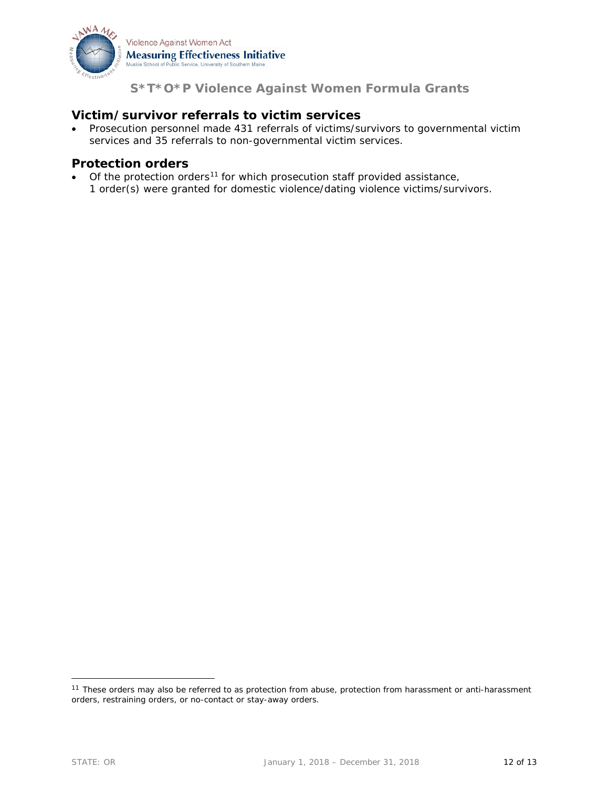

#### **Victim/survivor referrals to victim services**

• Prosecution personnel made 431 referrals of victims/survivors to governmental victim services and 35 referrals to non-governmental victim services.

#### **Protection orders**

Of the protection orders<sup>[11](#page-11-0)</sup> for which prosecution staff provided assistance, 1 order(s) were granted for domestic violence/dating violence victims/survivors.

<span id="page-11-0"></span><sup>&</sup>lt;sup>11</sup> These orders may also be referred to as protection from abuse, protection from harassment or anti-harassment orders, restraining orders, or no-contact or stay-away orders.